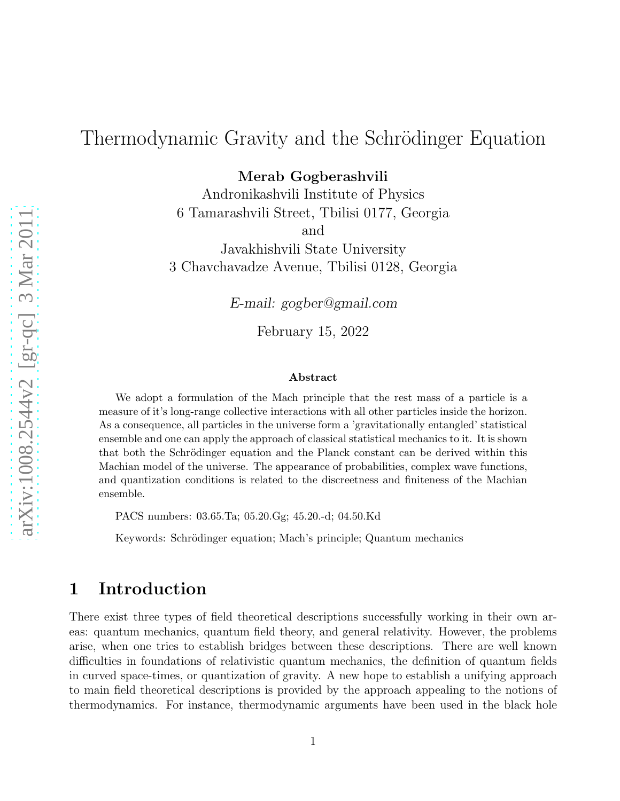# Thermodynamic Gravity and the Schrödinger Equation

Merab Gogberashvili

Andronikashvili Institute of Physics 6 Tamarashvili Street, Tbilisi 0177, Georgia and

Javakhishvili State University 3 Chavchavadze Avenue, Tbilisi 0128, Georgia

*E-mail: gogber@gmail.com*

February 15, 2022

#### Abstract

We adopt a formulation of the Mach principle that the rest mass of a particle is a measure of it's long-range collective interactions with all other particles inside the horizon. As a consequence, all particles in the universe form a 'gravitationally entangled' statistical ensemble and one can apply the approach of classical statistical mechanics to it. It is shown that both the Schrödinger equation and the Planck constant can be derived within this Machian model of the universe. The appearance of probabilities, complex wave functions, and quantization conditions is related to the discreetness and finiteness of the Machian ensemble.

PACS numbers: 03.65.Ta; 05.20.Gg; 45.20.-d; 04.50.Kd

Keywords: Schrödinger equation; Mach's principle; Quantum mechanics

## 1 Introduction

There exist three types of field theoretical descriptions successfully working in their own areas: quantum mechanics, quantum field theory, and general relativity. However, the problems arise, when one tries to establish bridges between these descriptions. There are well known difficulties in foundations of relativistic quantum mechanics, the definition of quantum fields in curved space-times, or quantization of gravity. A new hope to establish a unifying approach to main field theoretical descriptions is provided by the approach appealing to the notions of thermodynamics. For instance, thermodynamic arguments have been used in the black hole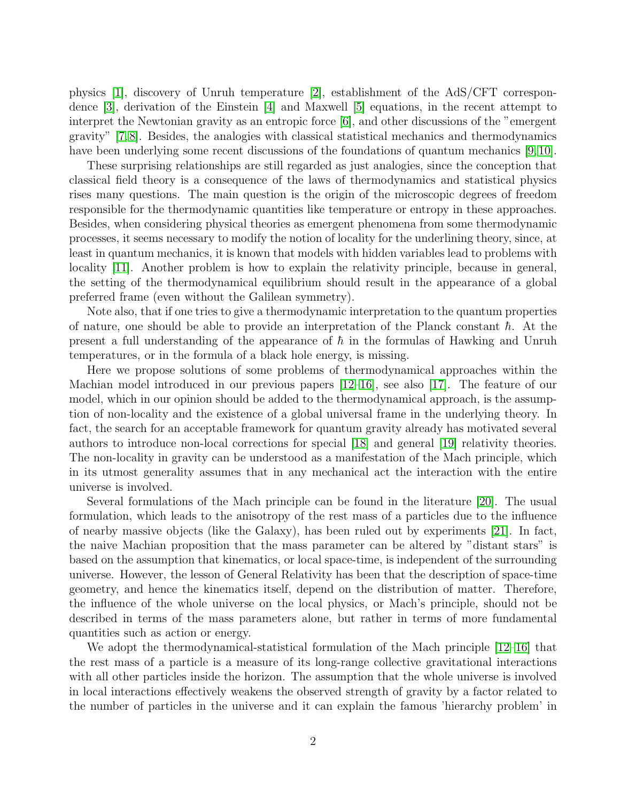physics [\[1\]](#page-11-0), discovery of Unruh temperature [\[2\]](#page-11-1), establishment of the AdS/CFT correspondence [\[3\]](#page-11-2), derivation of the Einstein [\[4\]](#page-11-3) and Maxwell [\[5\]](#page-11-4) equations, in the recent attempt to interpret the Newtonian gravity as an entropic force [\[6\]](#page-11-5), and other discussions of the "emergent gravity" [\[7,](#page-11-6) [8\]](#page-11-7). Besides, the analogies with classical statistical mechanics and thermodynamics have been underlying some recent discussions of the foundations of quantum mechanics [\[9,](#page-11-8)[10\]](#page-11-9).

These surprising relationships are still regarded as just analogies, since the conception that classical field theory is a consequence of the laws of thermodynamics and statistical physics rises many questions. The main question is the origin of the microscopic degrees of freedom responsible for the thermodynamic quantities like temperature or entropy in these approaches. Besides, when considering physical theories as emergent phenomena from some thermodynamic processes, it seems necessary to modify the notion of locality for the underlining theory, since, at least in quantum mechanics, it is known that models with hidden variables lead to problems with locality [\[11\]](#page-12-0). Another problem is how to explain the relativity principle, because in general, the setting of the thermodynamical equilibrium should result in the appearance of a global preferred frame (even without the Galilean symmetry).

Note also, that if one tries to give a thermodynamic interpretation to the quantum properties of nature, one should be able to provide an interpretation of the Planck constant  $\hbar$ . At the present a full understanding of the appearance of  $\hbar$  in the formulas of Hawking and Unruh temperatures, or in the formula of a black hole energy, is missing.

Here we propose solutions of some problems of thermodynamical approaches within the Machian model introduced in our previous papers [\[12–](#page-12-1)[16\]](#page-12-2), see also [\[17\]](#page-12-3). The feature of our model, which in our opinion should be added to the thermodynamical approach, is the assumption of non-locality and the existence of a global universal frame in the underlying theory. In fact, the search for an acceptable framework for quantum gravity already has motivated several authors to introduce non-local corrections for special [\[18\]](#page-12-4) and general [\[19\]](#page-12-5) relativity theories. The non-locality in gravity can be understood as a manifestation of the Mach principle, which in its utmost generality assumes that in any mechanical act the interaction with the entire universe is involved.

Several formulations of the Mach principle can be found in the literature [\[20\]](#page-12-6). The usual formulation, which leads to the anisotropy of the rest mass of a particles due to the influence of nearby massive objects (like the Galaxy), has been ruled out by experiments [\[21\]](#page-12-7). In fact, the naive Machian proposition that the mass parameter can be altered by "distant stars" is based on the assumption that kinematics, or local space-time, is independent of the surrounding universe. However, the lesson of General Relativity has been that the description of space-time geometry, and hence the kinematics itself, depend on the distribution of matter. Therefore, the influence of the whole universe on the local physics, or Mach's principle, should not be described in terms of the mass parameters alone, but rather in terms of more fundamental quantities such as action or energy.

We adopt the thermodynamical-statistical formulation of the Mach principle  $[12-16]$  that the rest mass of a particle is a measure of its long-range collective gravitational interactions with all other particles inside the horizon. The assumption that the whole universe is involved in local interactions effectively weakens the observed strength of gravity by a factor related to the number of particles in the universe and it can explain the famous 'hierarchy problem' in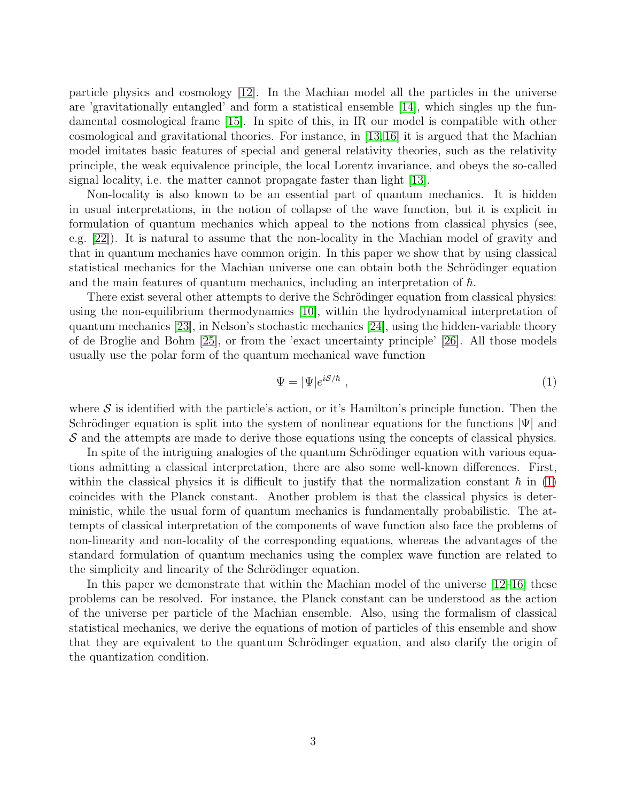particle physics and cosmology [\[12\]](#page-12-1). In the Machian model all the particles in the universe are 'gravitationally entangled' and form a statistical ensemble [\[14\]](#page-12-8), which singles up the fundamental cosmological frame [\[15\]](#page-12-9). In spite of this, in IR our model is compatible with other cosmological and gravitational theories. For instance, in [\[13,](#page-12-10) [16\]](#page-12-2) it is argued that the Machian model imitates basic features of special and general relativity theories, such as the relativity principle, the weak equivalence principle, the local Lorentz invariance, and obeys the so-called signal locality, i.e. the matter cannot propagate faster than light [\[13\]](#page-12-10).

Non-locality is also known to be an essential part of quantum mechanics. It is hidden in usual interpretations, in the notion of collapse of the wave function, but it is explicit in formulation of quantum mechanics which appeal to the notions from classical physics (see, e.g. [\[22\]](#page-12-11)). It is natural to assume that the non-locality in the Machian model of gravity and that in quantum mechanics have common origin. In this paper we show that by using classical statistical mechanics for the Machian universe one can obtain both the Schrödinger equation and the main features of quantum mechanics, including an interpretation of  $\hbar$ .

There exist several other attempts to derive the Schrödinger equation from classical physics: using the non-equilibrium thermodynamics [\[10\]](#page-11-9), within the hydrodynamical interpretation of quantum mechanics [\[23\]](#page-12-12), in Nelson's stochastic mechanics [\[24\]](#page-12-13), using the hidden-variable theory of de Broglie and Bohm [\[25\]](#page-12-14), or from the 'exact uncertainty principle' [\[26\]](#page-12-15). All those models usually use the polar form of the quantum mechanical wave function

<span id="page-2-0"></span>
$$
\Psi = |\Psi|e^{iS/\hbar} \tag{1}
$$

where  $\mathcal S$  is identified with the particle's action, or it's Hamilton's principle function. Then the Schrödinger equation is split into the system of nonlinear equations for the functions  $|\Psi|$  and S and the attempts are made to derive those equations using the concepts of classical physics.

In spite of the intriguing analogies of the quantum Schrödinger equation with various equations admitting a classical interpretation, there are also some well-known differences. First, within the classical physics it is difficult to justify that the normalization constant  $\hbar$  in [\(1\)](#page-2-0) coincides with the Planck constant. Another problem is that the classical physics is deterministic, while the usual form of quantum mechanics is fundamentally probabilistic. The attempts of classical interpretation of the components of wave function also face the problems of non-linearity and non-locality of the corresponding equations, whereas the advantages of the standard formulation of quantum mechanics using the complex wave function are related to the simplicity and linearity of the Schrödinger equation.

In this paper we demonstrate that within the Machian model of the universe  $[12-16]$  these problems can be resolved. For instance, the Planck constant can be understood as the action of the universe per particle of the Machian ensemble. Also, using the formalism of classical statistical mechanics, we derive the equations of motion of particles of this ensemble and show that they are equivalent to the quantum Schrödinger equation, and also clarify the origin of the quantization condition.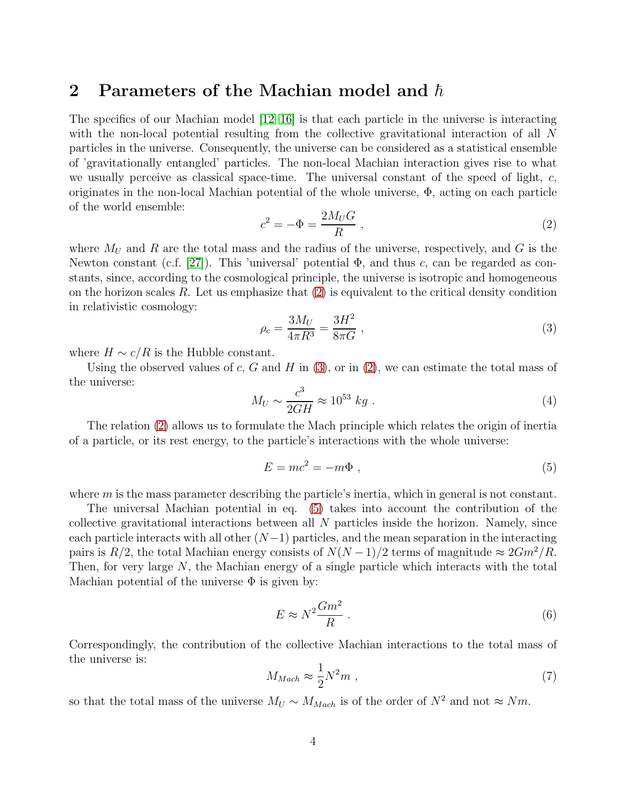## 2 Parameters of the Machian model and  $\hbar$

The specifics of our Machian model  $[12-16]$  $[12-16]$  is that each particle in the universe is interacting with the non-local potential resulting from the collective gravitational interaction of all N particles in the universe. Consequently, the universe can be considered as a statistical ensemble of 'gravitationally entangled' particles. The non-local Machian interaction gives rise to what we usually perceive as classical space-time. The universal constant of the speed of light, c, originates in the non-local Machian potential of the whole universe,  $\Phi$ , acting on each particle of the world ensemble:

<span id="page-3-0"></span>
$$
c^2 = -\Phi = \frac{2M_U G}{R} \,,\tag{2}
$$

where  $M_U$  and R are the total mass and the radius of the universe, respectively, and G is the Newton constant (c.f. [\[27\]](#page-12-16)). This 'universal' potential  $\Phi$ , and thus c, can be regarded as constants, since, according to the cosmological principle, the universe is isotropic and homogeneous on the horizon scales  $R$ . Let us emphasize that  $(2)$  is equivalent to the critical density condition in relativistic cosmology:

<span id="page-3-1"></span>
$$
\rho_c = \frac{3M_U}{4\pi R^3} = \frac{3H^2}{8\pi G} \,,\tag{3}
$$

where  $H \sim c/R$  is the Hubble constant.

Using the observed values of c, G and H in  $(3)$ , or in  $(2)$ , we can estimate the total mass of the universe:

<span id="page-3-3"></span>
$$
M_U \sim \frac{c^3}{2GH} \approx 10^{53} \ kg \ . \tag{4}
$$

The relation [\(2\)](#page-3-0) allows us to formulate the Mach principle which relates the origin of inertia of a particle, or its rest energy, to the particle's interactions with the whole universe:

<span id="page-3-2"></span>
$$
E = mc^2 = -m\Phi , \qquad (5)
$$

where m is the mass parameter describing the particle's inertia, which in general is not constant.

The universal Machian potential in eq. [\(5\)](#page-3-2) takes into account the contribution of the collective gravitational interactions between all  $N$  particles inside the horizon. Namely, since each particle interacts with all other  $(N-1)$  particles, and the mean separation in the interacting pairs is  $R/2$ , the total Machian energy consists of  $N(N-1)/2$  terms of magnitude  $\approx 2Gm^2/R$ . Then, for very large N, the Machian energy of a single particle which interacts with the total Machian potential of the universe  $\Phi$  is given by:

<span id="page-3-5"></span>
$$
E \approx N^2 \frac{Gm^2}{R} \tag{6}
$$

Correspondingly, the contribution of the collective Machian interactions to the total mass of the universe is:

<span id="page-3-4"></span>
$$
M_{Mach} \approx \frac{1}{2} N^2 m \tag{7}
$$

so that the total mass of the universe  $M_U \sim M_{Mach}$  is of the order of  $N^2$  and not  $\approx Nm$ .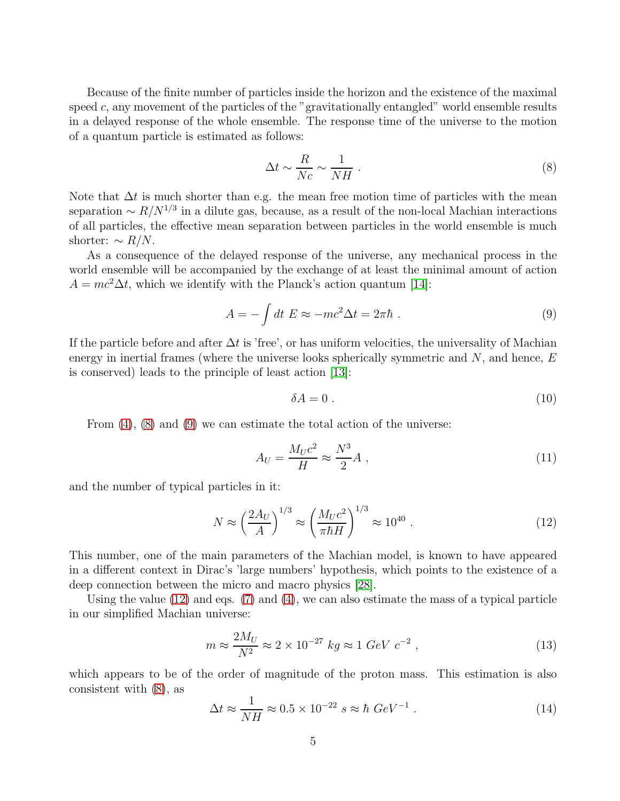Because of the finite number of particles inside the horizon and the existence of the maximal speed  $c$ , any movement of the particles of the "gravitationally entangled" world ensemble results in a delayed response of the whole ensemble. The response time of the universe to the motion of a quantum particle is estimated as follows:

<span id="page-4-0"></span>
$$
\Delta t \sim \frac{R}{Nc} \sim \frac{1}{NH} \ . \tag{8}
$$

Note that  $\Delta t$  is much shorter than e.g. the mean free motion time of particles with the mean separation  $\sim R/N^{1/3}$  in a dilute gas, because, as a result of the non-local Machian interactions of all particles, the effective mean separation between particles in the world ensemble is much shorter:  $\sim R/N$ .

As a consequence of the delayed response of the universe, any mechanical process in the world ensemble will be accompanied by the exchange of at least the minimal amount of action  $A = mc^2 \Delta t$ , which we identify with the Planck's action quantum [\[14\]](#page-12-8):

<span id="page-4-1"></span>
$$
A = -\int dt \ E \approx -mc^2 \Delta t = 2\pi\hbar \ . \tag{9}
$$

If the particle before and after  $\Delta t$  is 'free', or has uniform velocities, the universality of Machian energy in inertial frames (where the universe looks spherically symmetric and  $N$ , and hence,  $E$ is conserved) leads to the principle of least action [\[13\]](#page-12-10):

$$
\delta A = 0 \tag{10}
$$

From  $(4)$ ,  $(8)$  and  $(9)$  we can estimate the total action of the universe:

$$
A_U = \frac{M_U c^2}{H} \approx \frac{N^3}{2} A \tag{11}
$$

and the number of typical particles in it:

<span id="page-4-2"></span>
$$
N \approx \left(\frac{2A_U}{A}\right)^{1/3} \approx \left(\frac{M_U c^2}{\pi \hbar H}\right)^{1/3} \approx 10^{40} \ . \tag{12}
$$

This number, one of the main parameters of the Machian model, is known to have appeared in a different context in Dirac's 'large numbers' hypothesis, which points to the existence of a deep connection between the micro and macro physics [\[28\]](#page-12-17).

Using the value  $(12)$  and eqs.  $(7)$  and  $(4)$ , we can also estimate the mass of a typical particle in our simplified Machian universe:

$$
m \approx \frac{2M_U}{N^2} \approx 2 \times 10^{-27} \ kg \approx 1 \ GeV \ c^{-2} \ , \tag{13}
$$

which appears to be of the order of magnitude of the proton mass. This estimation is also consistent with [\(8\)](#page-4-0), as

$$
\Delta t \approx \frac{1}{NH} \approx 0.5 \times 10^{-22} \ s \approx \hbar \ GeV^{-1} \ . \tag{14}
$$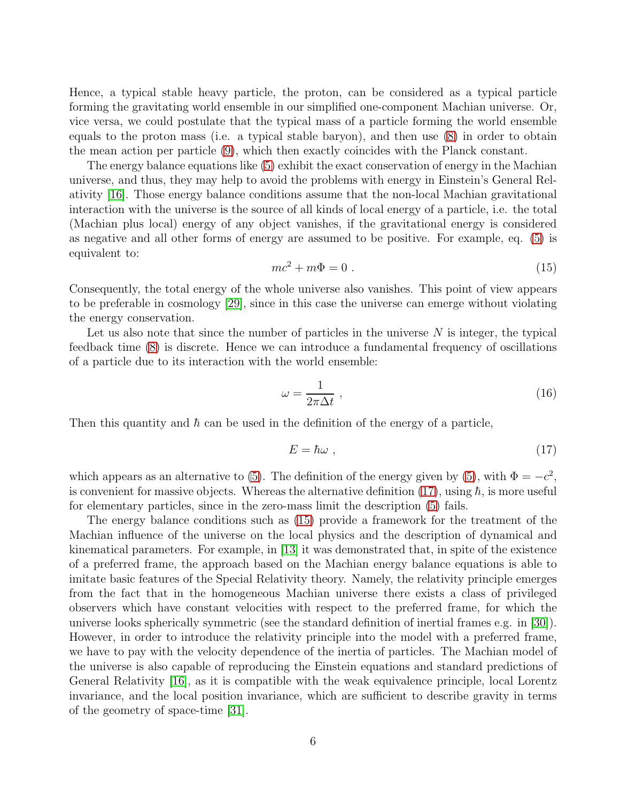Hence, a typical stable heavy particle, the proton, can be considered as a typical particle forming the gravitating world ensemble in our simplified one-component Machian universe. Or, vice versa, we could postulate that the typical mass of a particle forming the world ensemble equals to the proton mass (i.e. a typical stable baryon), and then use [\(8\)](#page-4-0) in order to obtain the mean action per particle [\(9\)](#page-4-1), which then exactly coincides with the Planck constant.

The energy balance equations like [\(5\)](#page-3-2) exhibit the exact conservation of energy in the Machian universe, and thus, they may help to avoid the problems with energy in Einstein's General Relativity [\[16\]](#page-12-2). Those energy balance conditions assume that the non-local Machian gravitational interaction with the universe is the source of all kinds of local energy of a particle, i.e. the total (Machian plus local) energy of any object vanishes, if the gravitational energy is considered as negative and all other forms of energy are assumed to be positive. For example, eq. [\(5\)](#page-3-2) is equivalent to:

<span id="page-5-1"></span>
$$
mc^2 + m\Phi = 0.
$$
 (15)

Consequently, the total energy of the whole universe also vanishes. This point of view appears to be preferable in cosmology [\[29\]](#page-13-0), since in this case the universe can emerge without violating the energy conservation.

Let us also note that since the number of particles in the universe  $N$  is integer, the typical feedback time [\(8\)](#page-4-0) is discrete. Hence we can introduce a fundamental frequency of oscillations of a particle due to its interaction with the world ensemble:

$$
\omega = \frac{1}{2\pi\Delta t} \,,\tag{16}
$$

Then this quantity and  $\hbar$  can be used in the definition of the energy of a particle,

<span id="page-5-0"></span>
$$
E = \hbar\omega \t{17}
$$

which appears as an alternative to [\(5\)](#page-3-2). The definition of the energy given by (5), with  $\Phi = -c^2$ , is convenient for massive objects. Whereas the alternative definition  $(17)$ , using  $\hbar$ , is more useful for elementary particles, since in the zero-mass limit the description [\(5\)](#page-3-2) fails.

The energy balance conditions such as [\(15\)](#page-5-1) provide a framework for the treatment of the Machian influence of the universe on the local physics and the description of dynamical and kinematical parameters. For example, in [\[13\]](#page-12-10) it was demonstrated that, in spite of the existence of a preferred frame, the approach based on the Machian energy balance equations is able to imitate basic features of the Special Relativity theory. Namely, the relativity principle emerges from the fact that in the homogeneous Machian universe there exists a class of privileged observers which have constant velocities with respect to the preferred frame, for which the universe looks spherically symmetric (see the standard definition of inertial frames e.g. in [\[30\]](#page-13-1)). However, in order to introduce the relativity principle into the model with a preferred frame, we have to pay with the velocity dependence of the inertia of particles. The Machian model of the universe is also capable of reproducing the Einstein equations and standard predictions of General Relativity [\[16\]](#page-12-2), as it is compatible with the weak equivalence principle, local Lorentz invariance, and the local position invariance, which are sufficient to describe gravity in terms of the geometry of space-time [\[31\]](#page-13-2).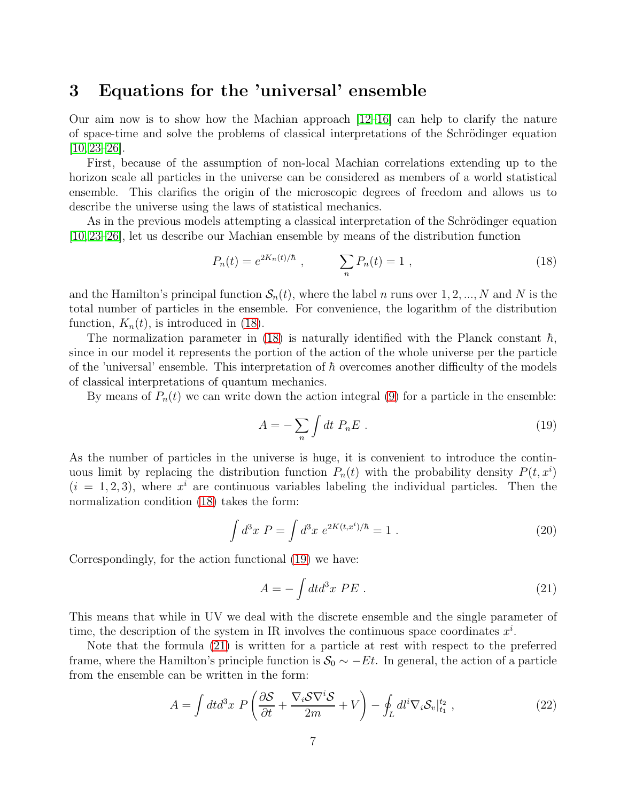## 3 Equations for the 'universal' ensemble

Our aim now is to show how the Machian approach  $|12-16|$  can help to clarify the nature of space-time and solve the problems of classical interpretations of the Schrödinger equation  $[10, 23 - 26]$  $[10, 23 - 26]$  $[10, 23 - 26]$ .

First, because of the assumption of non-local Machian correlations extending up to the horizon scale all particles in the universe can be considered as members of a world statistical ensemble. This clarifies the origin of the microscopic degrees of freedom and allows us to describe the universe using the laws of statistical mechanics.

As in the previous models attempting a classical interpretation of the Schrödinger equation [\[10,](#page-11-9) [23–](#page-12-12)[26\]](#page-12-15), let us describe our Machian ensemble by means of the distribution function

<span id="page-6-0"></span>
$$
P_n(t) = e^{2K_n(t)/\hbar} \;, \qquad \sum_n P_n(t) = 1 \;, \tag{18}
$$

and the Hamilton's principal function  $S_n(t)$ , where the label n runs over 1, 2, ..., N and N is the total number of particles in the ensemble. For convenience, the logarithm of the distribution function,  $K_n(t)$ , is introduced in [\(18\)](#page-6-0).

The normalization parameter in [\(18\)](#page-6-0) is naturally identified with the Planck constant  $\hbar$ , since in our model it represents the portion of the action of the whole universe per the particle of the 'universal' ensemble. This interpretation of  $\hbar$  overcomes another difficulty of the models of classical interpretations of quantum mechanics.

By means of  $P_n(t)$  we can write down the action integral [\(9\)](#page-4-1) for a particle in the ensemble:

<span id="page-6-1"></span>
$$
A = -\sum_{n} \int dt \ P_{n} E \ . \tag{19}
$$

As the number of particles in the universe is huge, it is convenient to introduce the continuous limit by replacing the distribution function  $P_n(t)$  with the probability density  $P(t, x^i)$  $(i = 1, 2, 3)$ , where  $x^{i}$  are continuous variables labeling the individual particles. Then the normalization condition [\(18\)](#page-6-0) takes the form:

$$
\int d^3x \ P = \int d^3x \ e^{2K(t,x^i)/\hbar} = 1 \ . \tag{20}
$$

Correspondingly, for the action functional [\(19\)](#page-6-1) we have:

<span id="page-6-2"></span>
$$
A = -\int dt d^3x \, PE \tag{21}
$$

This means that while in UV we deal with the discrete ensemble and the single parameter of time, the description of the system in IR involves the continuous space coordinates  $x^i$ .

Note that the formula [\(21\)](#page-6-2) is written for a particle at rest with respect to the preferred frame, where the Hamilton's principle function is  $S_0 \sim -Et$ . In general, the action of a particle from the ensemble can be written in the form:

<span id="page-6-3"></span>
$$
A = \int dt d^3x \ P\left(\frac{\partial S}{\partial t} + \frac{\nabla_i S \nabla^i S}{2m} + V\right) - \oint_L dl^i \nabla_i S_v|_{t_1}^{t_2},\tag{22}
$$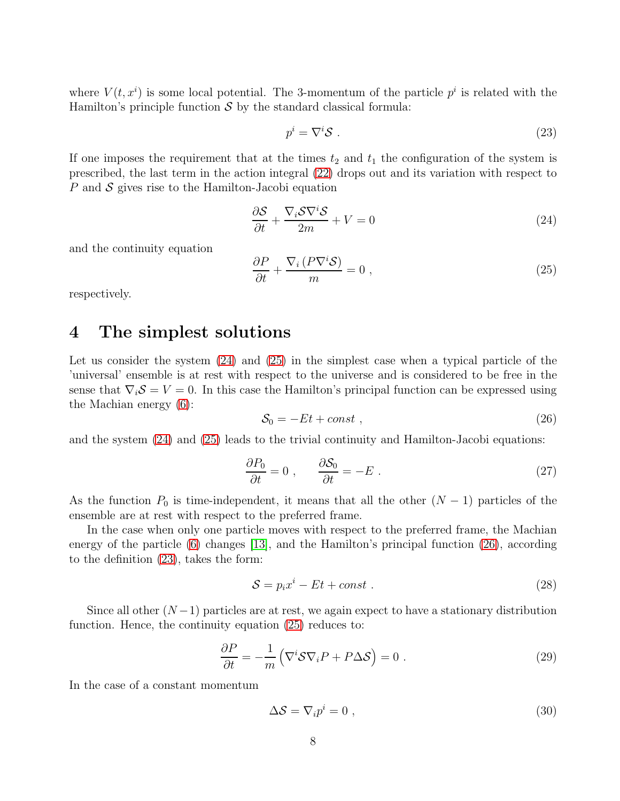where  $V(t, x^i)$  is some local potential. The 3-momentum of the particle  $p^i$  is related with the Hamilton's principle function  $S$  by the standard classical formula:

<span id="page-7-3"></span>
$$
p^i = \nabla^i \mathcal{S} \tag{23}
$$

If one imposes the requirement that at the times  $t_2$  and  $t_1$  the configuration of the system is prescribed, the last term in the action integral [\(22\)](#page-6-3) drops out and its variation with respect to P and  $S$  gives rise to the Hamilton-Jacobi equation

<span id="page-7-0"></span>
$$
\frac{\partial S}{\partial t} + \frac{\nabla_i S \nabla^i S}{2m} + V = 0 \tag{24}
$$

and the continuity equation

<span id="page-7-1"></span>
$$
\frac{\partial P}{\partial t} + \frac{\nabla_i \left( P \nabla^i S \right)}{m} = 0 \tag{25}
$$

respectively.

## 4 The simplest solutions

Let us consider the system [\(24\)](#page-7-0) and [\(25\)](#page-7-1) in the simplest case when a typical particle of the 'universal' ensemble is at rest with respect to the universe and is considered to be free in the sense that  $\nabla_i S = V = 0$ . In this case the Hamilton's principal function can be expressed using the Machian energy [\(6\)](#page-3-5):

<span id="page-7-2"></span>
$$
S_0 = -Et + const , \qquad (26)
$$

and the system [\(24\)](#page-7-0) and [\(25\)](#page-7-1) leads to the trivial continuity and Hamilton-Jacobi equations:

$$
\frac{\partial P_0}{\partial t} = 0 \;, \qquad \frac{\partial S_0}{\partial t} = -E \; . \tag{27}
$$

As the function  $P_0$  is time-independent, it means that all the other  $(N-1)$  particles of the ensemble are at rest with respect to the preferred frame.

In the case when only one particle moves with respect to the preferred frame, the Machian energy of the particle [\(6\)](#page-3-5) changes [\[13\]](#page-12-10), and the Hamilton's principal function [\(26\)](#page-7-2), according to the definition [\(23\)](#page-7-3), takes the form:

<span id="page-7-5"></span>
$$
S = p_i x^i - Et + const.
$$
 (28)

Since all other  $(N-1)$  particles are at rest, we again expect to have a stationary distribution function. Hence, the continuity equation [\(25\)](#page-7-1) reduces to:

<span id="page-7-4"></span>
$$
\frac{\partial P}{\partial t} = -\frac{1}{m} \left( \nabla^i \mathcal{S} \nabla_i P + P \Delta \mathcal{S} \right) = 0 \tag{29}
$$

In the case of a constant momentum

$$
\Delta S = \nabla_i p^i = 0 \tag{30}
$$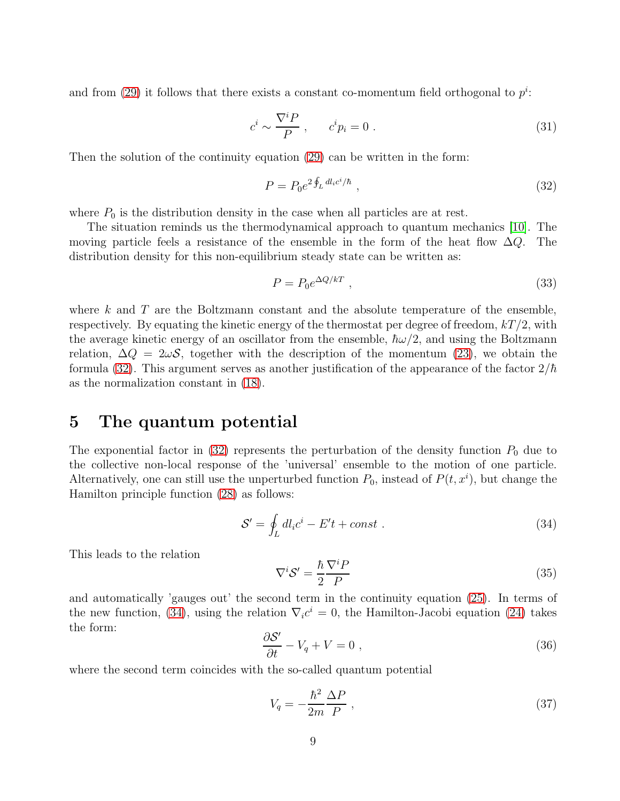and from [\(29\)](#page-7-4) it follows that there exists a constant co-momentum field orthogonal to  $p^i$ :

$$
c^i \sim \frac{\nabla^i P}{P} , \qquad c^i p_i = 0 . \tag{31}
$$

Then the solution of the continuity equation [\(29\)](#page-7-4) can be written in the form:

<span id="page-8-0"></span>
$$
P = P_0 e^{2 \oint_L dl_i c^i / \hbar} \,, \tag{32}
$$

where  $P_0$  is the distribution density in the case when all particles are at rest.

The situation reminds us the thermodynamical approach to quantum mechanics [\[10\]](#page-11-9). The moving particle feels a resistance of the ensemble in the form of the heat flow  $\Delta Q$ . The distribution density for this non-equilibrium steady state can be written as:

$$
P = P_0 e^{\Delta Q/kT} \t{33}
$$

where  $k$  and  $T$  are the Boltzmann constant and the absolute temperature of the ensemble, respectively. By equating the kinetic energy of the thermostat per degree of freedom,  $kT/2$ , with the average kinetic energy of an oscillator from the ensemble,  $\hbar \omega/2$ , and using the Boltzmann relation,  $\Delta Q = 2\omega S$ , together with the description of the momentum [\(23\)](#page-7-3), we obtain the formula [\(32\)](#page-8-0). This argument serves as another justification of the appearance of the factor  $2/\hbar$ as the normalization constant in [\(18\)](#page-6-0).

#### 5 The quantum potential

The exponential factor in [\(32\)](#page-8-0) represents the perturbation of the density function  $P_0$  due to the collective non-local response of the 'universal' ensemble to the motion of one particle. Alternatively, one can still use the unperturbed function  $P_0$ , instead of  $P(t, x^i)$ , but change the Hamilton principle function [\(28\)](#page-7-5) as follows:

<span id="page-8-1"></span>
$$
S' = \oint_L dl_i c^i - E't + const . \qquad (34)
$$

This leads to the relation

<span id="page-8-2"></span>
$$
\nabla^i \mathcal{S}' = \frac{\hbar}{2} \frac{\nabla^i P}{P} \tag{35}
$$

and automatically 'gauges out' the second term in the continuity equation [\(25\)](#page-7-1). In terms of the new function, [\(34\)](#page-8-1), using the relation  $\nabla_i c^i = 0$ , the Hamilton-Jacobi equation [\(24\)](#page-7-0) takes the form: ′

<span id="page-8-4"></span>
$$
\frac{\partial S'}{\partial t} - V_q + V = 0 \tag{36}
$$

where the second term coincides with the so-called quantum potential

<span id="page-8-3"></span>
$$
V_q = -\frac{\hbar^2}{2m} \frac{\Delta P}{P} \,,\tag{37}
$$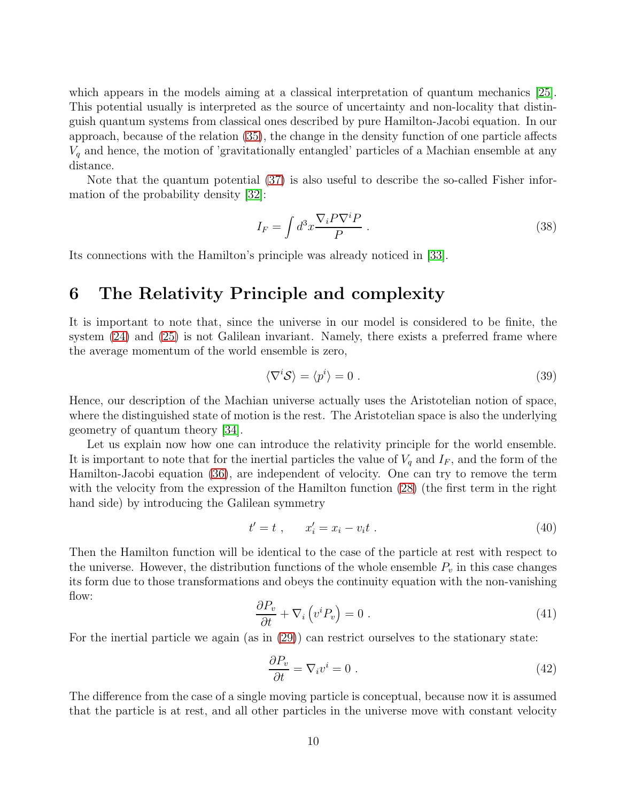which appears in the models aiming at a classical interpretation of quantum mechanics [\[25\]](#page-12-14). This potential usually is interpreted as the source of uncertainty and non-locality that distinguish quantum systems from classical ones described by pure Hamilton-Jacobi equation. In our approach, because of the relation [\(35\)](#page-8-2), the change in the density function of one particle affects  $V_q$  and hence, the motion of 'gravitationally entangled' particles of a Machian ensemble at any distance.

Note that the quantum potential [\(37\)](#page-8-3) is also useful to describe the so-called Fisher information of the probability density [\[32\]](#page-13-3):

$$
I_F = \int d^3x \frac{\nabla_i P \nabla^i P}{P} \ . \tag{38}
$$

Its connections with the Hamilton's principle was already noticed in [\[33\]](#page-13-4).

## 6 The Relativity Principle and complexity

It is important to note that, since the universe in our model is considered to be finite, the system [\(24\)](#page-7-0) and [\(25\)](#page-7-1) is not Galilean invariant. Namely, there exists a preferred frame where the average momentum of the world ensemble is zero,

$$
\langle \nabla^i \mathcal{S} \rangle = \langle p^i \rangle = 0 \tag{39}
$$

Hence, our description of the Machian universe actually uses the Aristotelian notion of space, where the distinguished state of motion is the rest. The Aristotelian space is also the underlying geometry of quantum theory [\[34\]](#page-13-5).

Let us explain now how one can introduce the relativity principle for the world ensemble. It is important to note that for the inertial particles the value of  $V_q$  and  $I_F$ , and the form of the Hamilton-Jacobi equation [\(36\)](#page-8-4), are independent of velocity. One can try to remove the term with the velocity from the expression of the Hamilton function [\(28\)](#page-7-5) (the first term in the right hand side) by introducing the Galilean symmetry

$$
t' = t , \qquad x'_i = x_i - v_i t . \tag{40}
$$

Then the Hamilton function will be identical to the case of the particle at rest with respect to the universe. However, the distribution functions of the whole ensemble  $P_v$  in this case changes its form due to those transformations and obeys the continuity equation with the non-vanishing flow:

$$
\frac{\partial P_v}{\partial t} + \nabla_i \left( v^i P_v \right) = 0 \tag{41}
$$

For the inertial particle we again (as in [\(29\)](#page-7-4)) can restrict ourselves to the stationary state:

$$
\frac{\partial P_v}{\partial t} = \nabla_i v^i = 0 \tag{42}
$$

The difference from the case of a single moving particle is conceptual, because now it is assumed that the particle is at rest, and all other particles in the universe move with constant velocity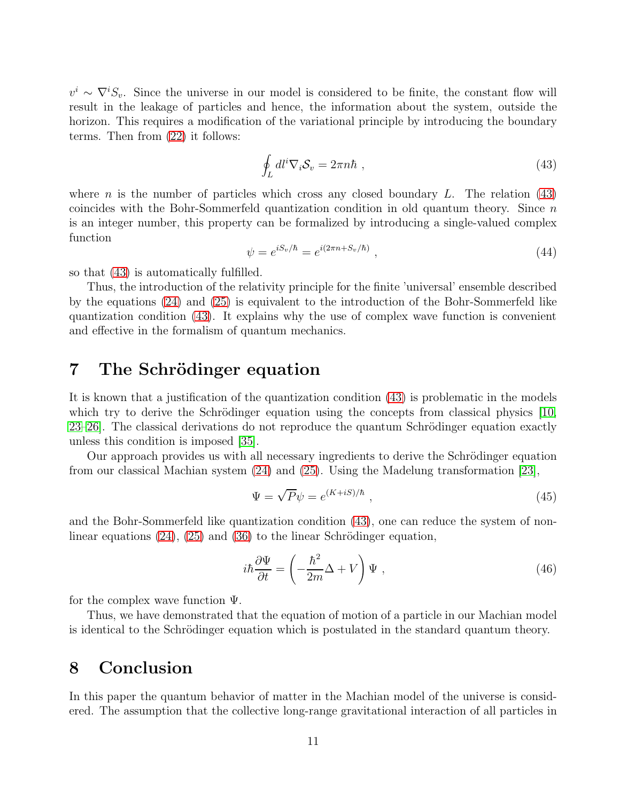$v^i \sim \nabla^i S_v$ . Since the universe in our model is considered to be finite, the constant flow will result in the leakage of particles and hence, the information about the system, outside the horizon. This requires a modification of the variational principle by introducing the boundary terms. Then from [\(22\)](#page-6-3) it follows:

<span id="page-10-0"></span>
$$
\oint_L dl^i \nabla_i S_v = 2\pi n \hbar , \qquad (43)
$$

where *n* is the number of particles which cross any closed boundary L. The relation  $(43)$ coincides with the Bohr-Sommerfeld quantization condition in old quantum theory. Since  $n$ is an integer number, this property can be formalized by introducing a single-valued complex function

$$
\psi = e^{iS_v/\hbar} = e^{i(2\pi n + S_v/\hbar)},\qquad(44)
$$

so that [\(43\)](#page-10-0) is automatically fulfilled.

Thus, the introduction of the relativity principle for the finite 'universal' ensemble described by the equations [\(24\)](#page-7-0) and [\(25\)](#page-7-1) is equivalent to the introduction of the Bohr-Sommerfeld like quantization condition [\(43\)](#page-10-0). It explains why the use of complex wave function is convenient and effective in the formalism of quantum mechanics.

## 7 The Schrödinger equation

It is known that a justification of the quantization condition [\(43\)](#page-10-0) is problematic in the models which try to derive the Schrödinger equation using the concepts from classical physics  $[10,$  $23-26$ . The classical derivations do not reproduce the quantum Schrödinger equation exactly unless this condition is imposed [\[35\]](#page-13-6).

Our approach provides us with all necessary ingredients to derive the Schrödinger equation from our classical Machian system [\(24\)](#page-7-0) and [\(25\)](#page-7-1). Using the Madelung transformation [\[23\]](#page-12-12),

$$
\Psi = \sqrt{P}\psi = e^{(K+iS)/\hbar} \t{,} \t(45)
$$

and the Bohr-Sommerfeld like quantization condition [\(43\)](#page-10-0), one can reduce the system of nonlinear equations  $(24)$ ,  $(25)$  and  $(36)$  to the linear Schrödinger equation,

$$
i\hbar \frac{\partial \Psi}{\partial t} = \left(-\frac{\hbar^2}{2m}\Delta + V\right)\Psi\,,\tag{46}
$$

for the complex wave function  $\Psi$ .

Thus, we have demonstrated that the equation of motion of a particle in our Machian model is identical to the Schrödinger equation which is postulated in the standard quantum theory.

### 8 Conclusion

In this paper the quantum behavior of matter in the Machian model of the universe is considered. The assumption that the collective long-range gravitational interaction of all particles in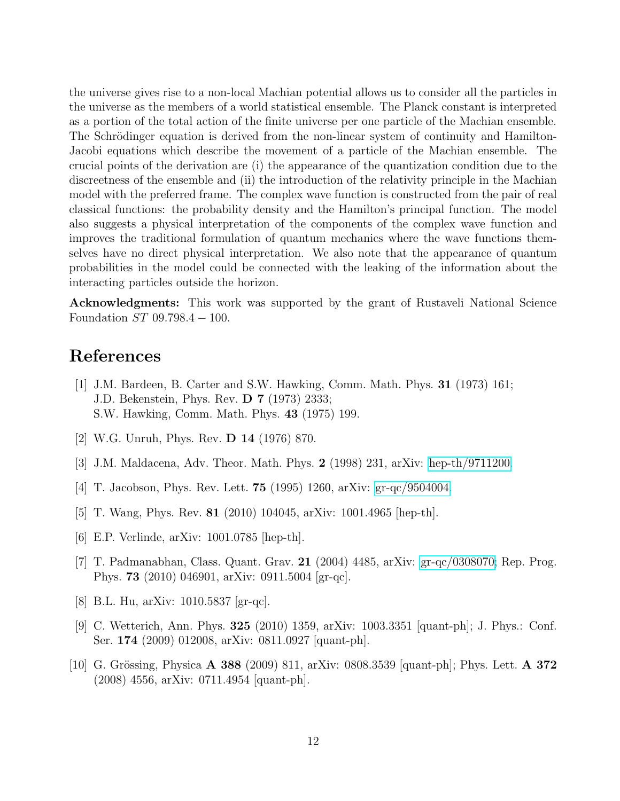the universe gives rise to a non-local Machian potential allows us to consider all the particles in the universe as the members of a world statistical ensemble. The Planck constant is interpreted as a portion of the total action of the finite universe per one particle of the Machian ensemble. The Schrödinger equation is derived from the non-linear system of continuity and Hamilton-Jacobi equations which describe the movement of a particle of the Machian ensemble. The crucial points of the derivation are (i) the appearance of the quantization condition due to the discreetness of the ensemble and (ii) the introduction of the relativity principle in the Machian model with the preferred frame. The complex wave function is constructed from the pair of real classical functions: the probability density and the Hamilton's principal function. The model also suggests a physical interpretation of the components of the complex wave function and improves the traditional formulation of quantum mechanics where the wave functions themselves have no direct physical interpretation. We also note that the appearance of quantum probabilities in the model could be connected with the leaking of the information about the interacting particles outside the horizon.

Acknowledgments: This work was supported by the grant of Rustaveli National Science Foundation  $ST$  09.798.4  $-$  100.

## <span id="page-11-0"></span>References

- [1] J.M. Bardeen, B. Carter and S.W. Hawking, Comm. Math. Phys. 31 (1973) 161; J.D. Bekenstein, Phys. Rev. D 7 (1973) 2333; S.W. Hawking, Comm. Math. Phys. 43 (1975) 199.
- <span id="page-11-2"></span><span id="page-11-1"></span>[2] W.G. Unruh, Phys. Rev. D 14 (1976) 870.
- <span id="page-11-3"></span>[3] J.M. Maldacena, Adv. Theor. Math. Phys. 2 (1998) 231, arXiv: [hep-th/9711200.](http://arxiv.org/abs/hep-th/9711200)
- <span id="page-11-4"></span>[4] T. Jacobson, Phys. Rev. Lett. **75** (1995) 1260, arXiv: [gr-qc/9504004.](http://arxiv.org/abs/gr-qc/9504004)
- <span id="page-11-5"></span>[5] T. Wang, Phys. Rev. 81 (2010) 104045, arXiv: 1001.4965 [hep-th].
- <span id="page-11-6"></span>[6] E.P. Verlinde, arXiv: 1001.0785 [hep-th].
- [7] T. Padmanabhan, Class. Quant. Grav. 21 (2004) 4485, arXiv: [gr-qc/0308070;](http://arxiv.org/abs/gr-qc/0308070) Rep. Prog. Phys. 73 (2010) 046901, arXiv: 0911.5004 [gr-qc].
- <span id="page-11-8"></span><span id="page-11-7"></span>[8] B.L. Hu, arXiv: 1010.5837 [gr-qc].
- [9] C. Wetterich, Ann. Phys. 325 (2010) 1359, arXiv: 1003.3351 [quant-ph]; J. Phys.: Conf. Ser. 174 (2009) 012008, arXiv: 0811.0927 [quant-ph].
- <span id="page-11-9"></span>[10] G. Grössing, Physica A 388 (2009) 811, arXiv: 0808.3539 [quant-ph]; Phys. Lett. A 372 (2008) 4556, arXiv: 0711.4954 [quant-ph].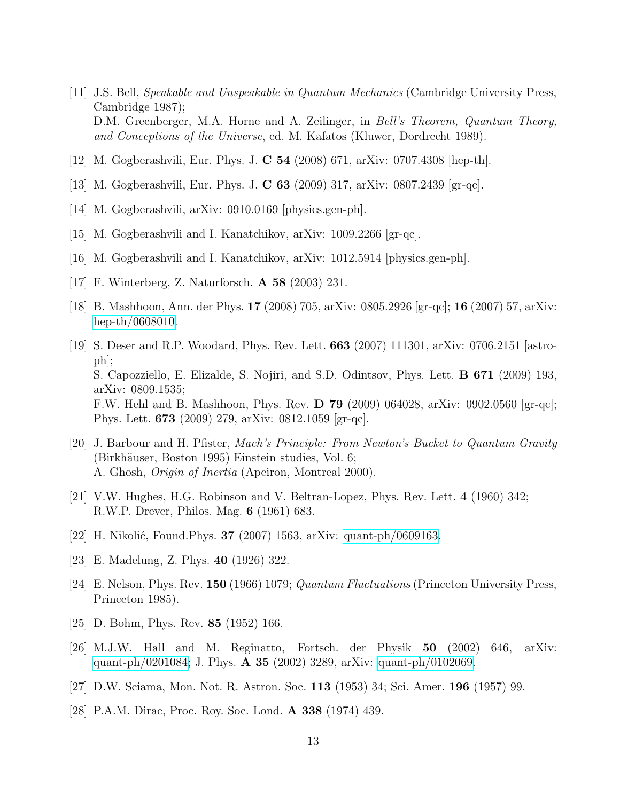- <span id="page-12-0"></span>[11] J.S. Bell, Speakable and Unspeakable in Quantum Mechanics (Cambridge University Press, Cambridge 1987); D.M. Greenberger, M.A. Horne and A. Zeilinger, in *Bell's Theorem, Quantum Theory*, and Conceptions of the Universe, ed. M. Kafatos (Kluwer, Dordrecht 1989).
- <span id="page-12-10"></span><span id="page-12-1"></span>[12] M. Gogberashvili, Eur. Phys. J. C 54 (2008) 671, arXiv: 0707.4308 [hep-th].
- <span id="page-12-8"></span>[13] M. Gogberashvili, Eur. Phys. J. C 63 (2009) 317, arXiv: 0807.2439 [gr-qc].
- <span id="page-12-9"></span>[14] M. Gogberashvili, arXiv: 0910.0169 [physics.gen-ph].
- <span id="page-12-2"></span>[15] M. Gogberashvili and I. Kanatchikov, arXiv: 1009.2266 [gr-qc].
- <span id="page-12-3"></span>[16] M. Gogberashvili and I. Kanatchikov, arXiv: 1012.5914 [physics.gen-ph].
- <span id="page-12-4"></span>[17] F. Winterberg, Z. Naturforsch. A 58 (2003) 231.
- <span id="page-12-5"></span>[18] B. Mashhoon, Ann. der Phys. 17 (2008) 705, arXiv: 0805.2926 [gr-qc]; 16 (2007) 57, arXiv: [hep-th/0608010.](http://arxiv.org/abs/hep-th/0608010)
- [19] S. Deser and R.P. Woodard, Phys. Rev. Lett. 663 (2007) 111301, arXiv: 0706.2151 [astroph]; S. Capozziello, E. Elizalde, S. Nojiri, and S.D. Odintsov, Phys. Lett. B 671 (2009) 193, arXiv: 0809.1535; F.W. Hehl and B. Mashhoon, Phys. Rev. D 79 (2009) 064028, arXiv: 0902.0560 [gr-qc]; Phys. Lett. 673 (2009) 279, arXiv: 0812.1059 [gr-qc].
- <span id="page-12-6"></span>[20] J. Barbour and H. Pfister, Mach's Principle: From Newton's Bucket to Quantum Gravity (Birkhäuser, Boston 1995) Einstein studies, Vol. 6; A. Ghosh, Origin of Inertia (Apeiron, Montreal 2000).
- <span id="page-12-11"></span><span id="page-12-7"></span>[21] V.W. Hughes, H.G. Robinson and V. Beltran-Lopez, Phys. Rev. Lett. 4 (1960) 342; R.W.P. Drever, Philos. Mag. 6 (1961) 683.
- <span id="page-12-12"></span>[22] H. Nikolić, Found. Phys.  $37$  (2007) 1563, arXiv: [quant-ph/0609163.](http://arxiv.org/abs/quant-ph/0609163)
- <span id="page-12-13"></span>[23] E. Madelung, Z. Phys. 40 (1926) 322.
- <span id="page-12-14"></span>[24] E. Nelson, Phys. Rev. 150 (1966) 1079; Quantum Fluctuations (Princeton University Press, Princeton 1985).
- <span id="page-12-15"></span>[25] D. Bohm, Phys. Rev. 85 (1952) 166.
- [26] M.J.W. Hall and M. Reginatto, Fortsch. der Physik 50 (2002) 646, arXiv: [quant-ph/0201084;](http://arxiv.org/abs/quant-ph/0201084) J. Phys. A 35 (2002) 3289, arXiv: [quant-ph/0102069.](http://arxiv.org/abs/quant-ph/0102069)
- <span id="page-12-17"></span><span id="page-12-16"></span>[27] D.W. Sciama, Mon. Not. R. Astron. Soc. 113 (1953) 34; Sci. Amer. 196 (1957) 99.
- [28] P.A.M. Dirac, Proc. Roy. Soc. Lond. A 338 (1974) 439.